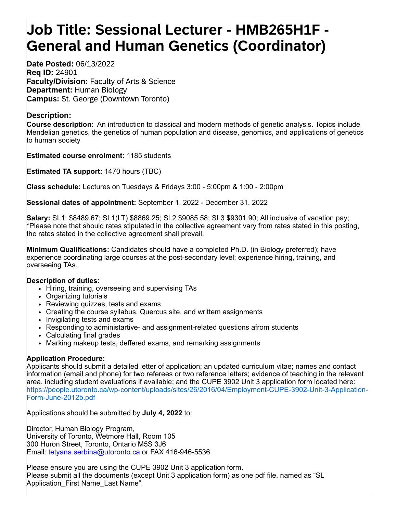## **Job Title: Sessional Lecturer - HMB265H1F - General and Human Genetics (Coordinator)**

**Date Posted:** 06/13/2022 **Req ID:** 24901 **Faculty/Division:** Faculty of Arts & Science **Department:** Human Biology **Campus:** St. George (Downtown Toronto)

## **Description:**

**Course description:** An introduction to classical and modern methods of genetic analysis. Topics include Mendelian genetics, the genetics of human population and disease, genomics, and applications of genetics to human society

**Estimated course enrolment:** 1185 students

**Estimated TA support:** 1470 hours (TBC)

**Class schedule:** Lectures on Tuesdays & Fridays 3:00 - 5:00pm & 1:00 - 2:00pm

**Sessional dates of appointment:** September 1, 2022 - December 31, 2022

**Salary:** SL1: \$8489.67; SL1(LT) \$8869.25; SL2 \$9085.58; SL3 \$9301.90; All inclusive of vacation pay; \*Please note that should rates stipulated in the collective agreement vary from rates stated in this posting, the rates stated in the collective agreement shall prevail.

**Minimum Qualifications:** Candidates should have a completed Ph.D. (in Biology preferred); have experience coordinating large courses at the post-secondary level; experience hiring, training, and overseeing TAs.

## **Description of duties:**

- Hiring, training, overseeing and supervising TAs
- Organizing tutorials
- Reviewing quizzes, tests and exams
- Creating the course syllabus, Quercus site, and writtem assignments
- Invigilating tests and exams
- Responding to administartive- and assignment-related questions afrom students
- Calculating final grades
- Marking makeup tests, deffered exams, and remarking assignments

## **Application Procedure:**

Applicants should submit a detailed letter of application; an updated curriculum vitae; names and contact information (email and phone) for two referees or two reference letters; evidence of teaching in the relevant area, including student evaluations if available; and the CUPE 3902 Unit 3 application form located here: [https://people.utoronto.ca/wp-content/uploads/sites/26/2016/04/Employment-CUPE-3902-Unit-3-Application-](javascript:void(0);)Form-June-2012b.pdf

Applications should be submitted by **July 4, 2022** to:

Director, Human Biology Program, University of Toronto, Wetmore Hall, Room 105 300 Huron Street, Toronto, Ontario M5S 3J6 Email: [tetyana.serbina@utoronto.ca](javascript:void(0);) or FAX 416-946-5536

Please ensure you are using the CUPE 3902 Unit 3 application form. Please submit all the documents (except Unit 3 application form) as one pdf file, named as "SL Application First Name Last Name".